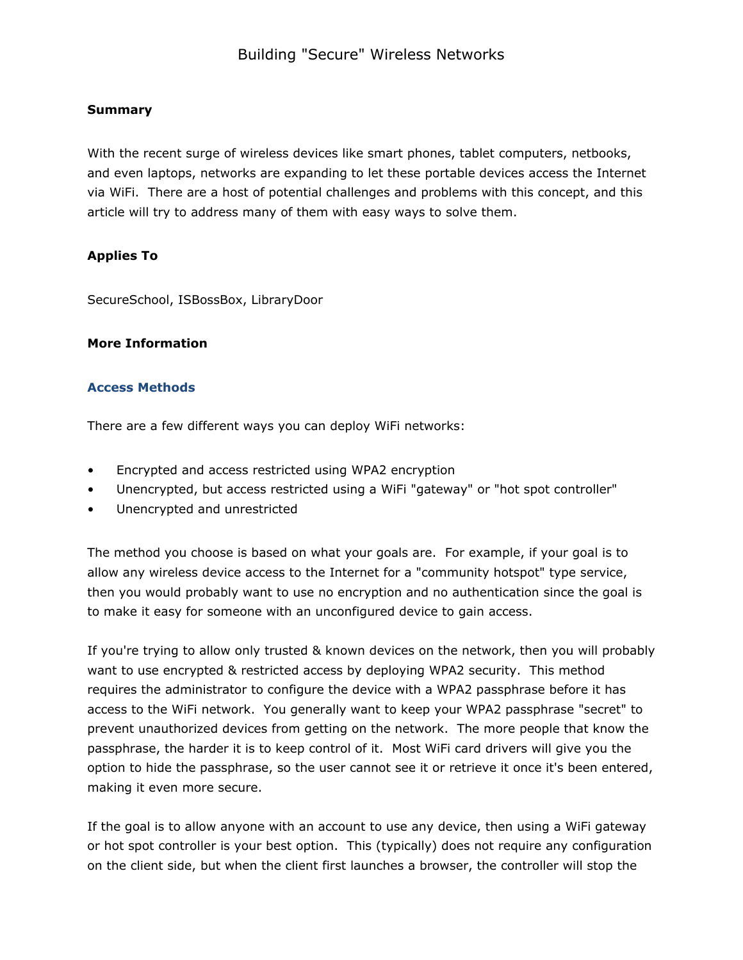## Summary

With the recent surge of wireless devices like smart phones, tablet computers, netbooks, and even laptops, networks are expanding to let these portable devices access the Internet via WiFi. There are a host of potential challenges and problems with this concept, and this article will try to address many of them with easy ways to solve them.

## Applies To

SecureSchool, ISBossBox, LibraryDoor

### More Information

### Access Methods

There are a few different ways you can deploy WiFi networks:

- Encrypted and access restricted using WPA2 encryption
- Unencrypted, but access restricted using a WiFi "gateway" or "hot spot controller"
- Unencrypted and unrestricted

The method you choose is based on what your goals are. For example, if your goal is to allow any wireless device access to the Internet for a "community hotspot" type service, then you would probably want to use no encryption and no authentication since the goal is to make it easy for someone with an unconfigured device to gain access.

If you're trying to allow only trusted & known devices on the network, then you will probably want to use encrypted & restricted access by deploying WPA2 security. This method requires the administrator to configure the device with a WPA2 passphrase before it has access to the WiFi network. You generally want to keep your WPA2 passphrase "secret" to prevent unauthorized devices from getting on the network. The more people that know the passphrase, the harder it is to keep control of it. Most WiFi card drivers will give you the option to hide the passphrase, so the user cannot see it or retrieve it once it's been entered, making it even more secure.

If the goal is to allow anyone with an account to use any device, then using a WiFi gateway or hot spot controller is your best option. This (typically) does not require any configuration on the client side, but when the client first launches a browser, the controller will stop the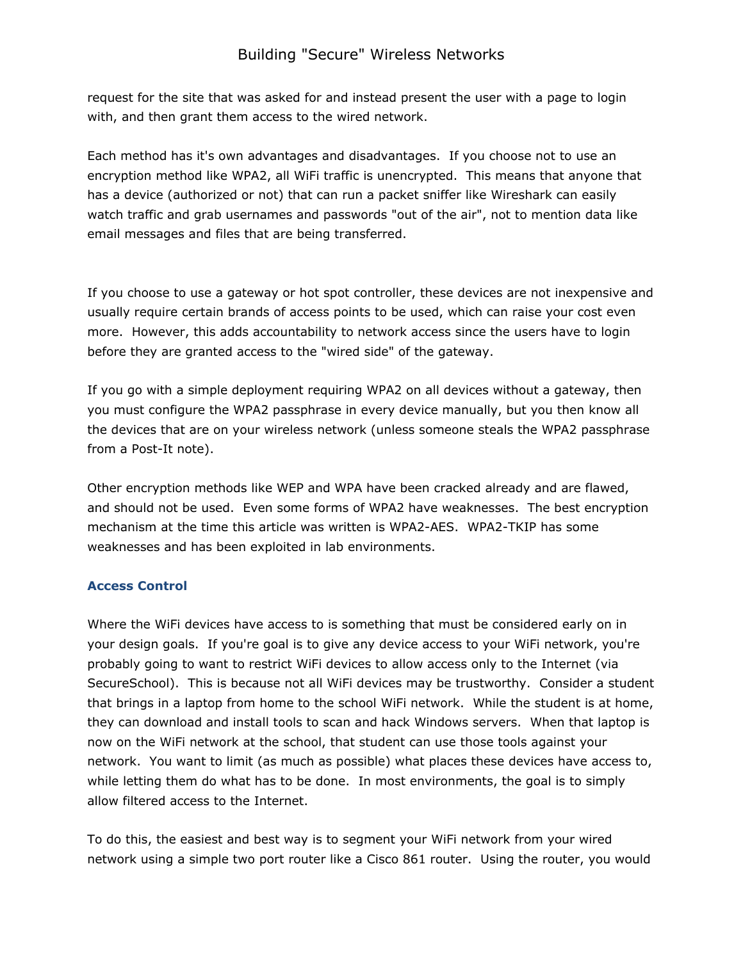## Building "Secure" Wireless Networks

request for the site that was asked for and instead present the user with a page to login with, and then grant them access to the wired network.

Each method has it's own advantages and disadvantages. If you choose not to use an encryption method like WPA2, all WiFi traffic is unencrypted. This means that anyone that has a device (authorized or not) that can run a packet sniffer like Wireshark can easily watch traffic and grab usernames and passwords "out of the air", not to mention data like email messages and files that are being transferred.

If you choose to use a gateway or hot spot controller, these devices are not inexpensive and usually require certain brands of access points to be used, which can raise your cost even more. However, this adds accountability to network access since the users have to login before they are granted access to the "wired side" of the gateway.

If you go with a simple deployment requiring WPA2 on all devices without a gateway, then you must configure the WPA2 passphrase in every device manually, but you then know all the devices that are on your wireless network (unless someone steals the WPA2 passphrase from a Post-It note).

Other encryption methods like WEP and WPA have been cracked already and are flawed, and should not be used. Even some forms of WPA2 have weaknesses. The best encryption mechanism at the time this article was written is WPA2-AES. WPA2-TKIP has some weaknesses and has been exploited in lab environments.

### Access Control

Where the WiFi devices have access to is something that must be considered early on in your design goals. If you're goal is to give any device access to your WiFi network, you're probably going to want to restrict WiFi devices to allow access only to the Internet (via SecureSchool). This is because not all WiFi devices may be trustworthy. Consider a student that brings in a laptop from home to the school WiFi network. While the student is at home, they can download and install tools to scan and hack Windows servers. When that laptop is now on the WiFi network at the school, that student can use those tools against your network. You want to limit (as much as possible) what places these devices have access to, while letting them do what has to be done. In most environments, the goal is to simply allow filtered access to the Internet.

To do this, the easiest and best way is to segment your WiFi network from your wired network using a simple two port router like a Cisco 861 router. Using the router, you would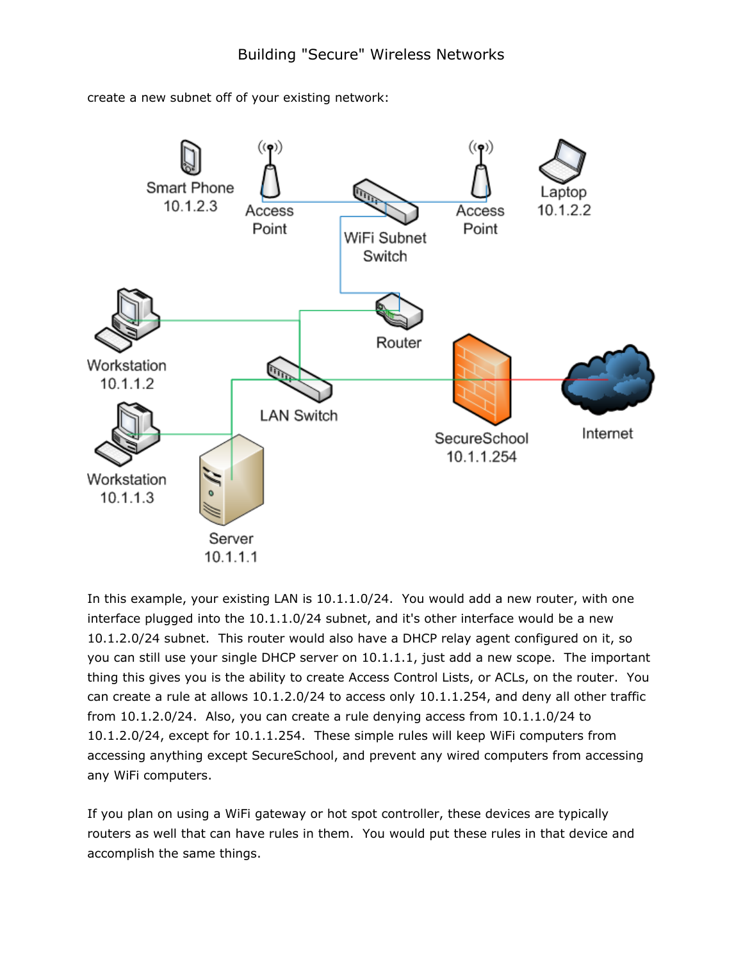create a new subnet off of your existing network:



In this example, your existing LAN is 10.1.1.0/24. You would add a new router, with one interface plugged into the 10.1.1.0/24 subnet, and it's other interface would be a new 10.1.2.0/24 subnet. This router would also have a DHCP relay agent configured on it, so you can still use your single DHCP server on 10.1.1.1, just add a new scope. The important thing this gives you is the ability to create Access Control Lists, or ACLs, on the router. You can create a rule at allows 10.1.2.0/24 to access only 10.1.1.254, and deny all other traffic from 10.1.2.0/24. Also, you can create a rule denying access from 10.1.1.0/24 to 10.1.2.0/24, except for 10.1.1.254. These simple rules will keep WiFi computers from accessing anything except SecureSchool, and prevent any wired computers from accessing any WiFi computers.

If you plan on using a WiFi gateway or hot spot controller, these devices are typically routers as well that can have rules in them. You would put these rules in that device and accomplish the same things.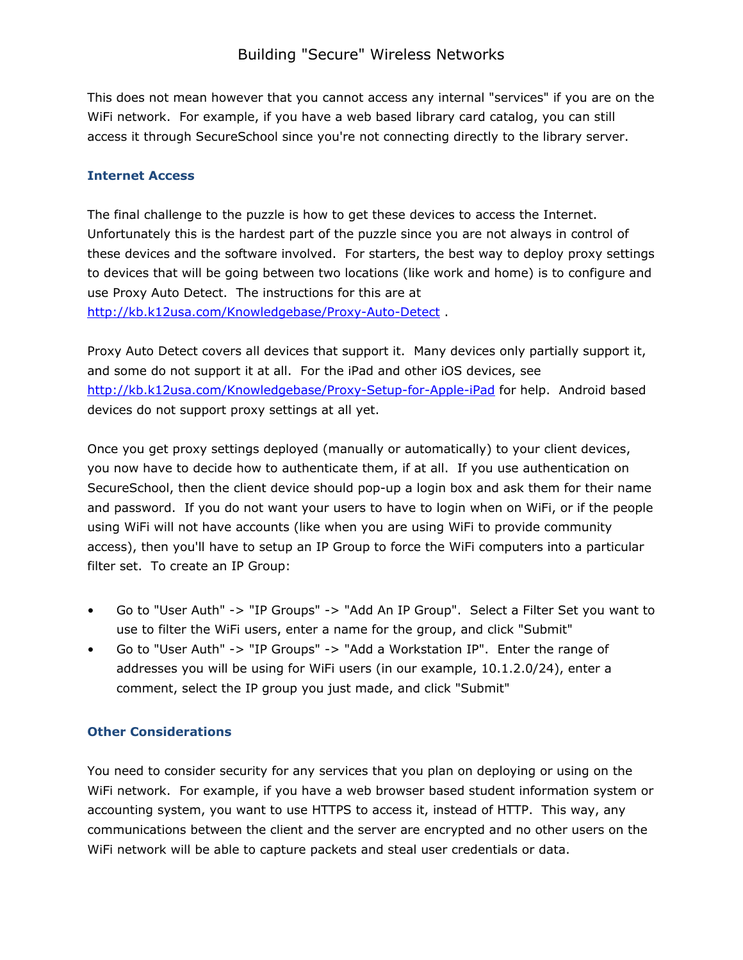This does not mean however that you cannot access any internal "services" if you are on the WiFi network. For example, if you have a web based library card catalog, you can still access it through SecureSchool since you're not connecting directly to the library server.

## Internet Access

The final challenge to the puzzle is how to get these devices to access the Internet. Unfortunately this is the hardest part of the puzzle since you are not always in control of these devices and the software involved. For starters, the best way to deploy proxy settings to devices that will be going between two locations (like work and home) is to configure and use Proxy Auto Detect. The instructions for this are at <http://kb.k12usa.com/Knowledgebase/Proxy-Auto-Detect>.

Proxy Auto Detect covers all devices that support it. Many devices only partially support it, and some do not support it at all. For the iPad and other iOS devices, see <http://kb.k12usa.com/Knowledgebase/Proxy-Setup-for-Apple-iPad> for help. Android based devices do not support proxy settings at all yet.

Once you get proxy settings deployed (manually or automatically) to your client devices, you now have to decide how to authenticate them, if at all. If you use authentication on SecureSchool, then the client device should pop-up a login box and ask them for their name and password. If you do not want your users to have to login when on WiFi, or if the people using WiFi will not have accounts (like when you are using WiFi to provide community access), then you'll have to setup an IP Group to force the WiFi computers into a particular filter set. To create an IP Group:

- Go to "User Auth" -> "IP Groups" -> "Add An IP Group". Select a Filter Set you want to use to filter the WiFi users, enter a name for the group, and click "Submit"
- Go to "User Auth" -> "IP Groups" -> "Add a Workstation IP". Enter the range of addresses you will be using for WiFi users (in our example, 10.1.2.0/24), enter a comment, select the IP group you just made, and click "Submit"

## Other Considerations

You need to consider security for any services that you plan on deploying or using on the WiFi network. For example, if you have a web browser based student information system or accounting system, you want to use HTTPS to access it, instead of HTTP. This way, any communications between the client and the server are encrypted and no other users on the WiFi network will be able to capture packets and steal user credentials or data.